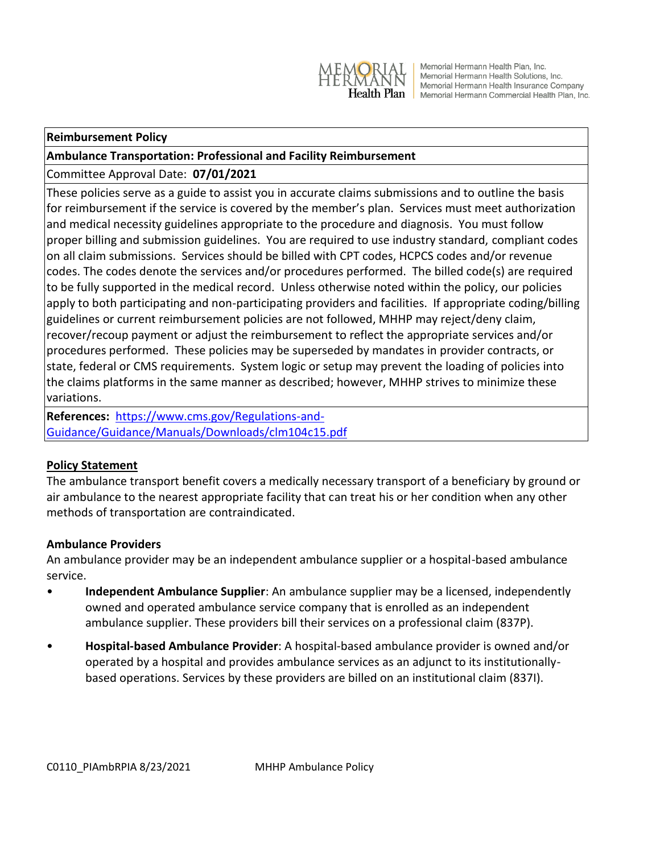

Memorial Hermann Health Plan, Inc. Memorial Hermann Health Solutions, Inc. Memorial Hermann Health Insurance Company Health Plan | Memorial Hermann Commercial Health Plan, Inc.

#### **Reimbursement Policy**

#### **Ambulance Transportation: Professional and Facility Reimbursement**

## Committee Approval Date: **07/01/2021**

These policies serve as a guide to assist you in accurate claims submissions and to outline the basis for reimbursement if the service is covered by the member's plan. Services must meet authorization and medical necessity guidelines appropriate to the procedure and diagnosis. You must follow proper billing and submission guidelines. You are required to use industry standard, compliant codes on all claim submissions. Services should be billed with CPT codes, HCPCS codes and/or revenue codes. The codes denote the services and/or procedures performed. The billed code(s) are required to be fully supported in the medical record. Unless otherwise noted within the policy, our policies apply to both participating and non-participating providers and facilities. If appropriate coding/billing guidelines or current reimbursement policies are not followed, MHHP may reject/deny claim, recover/recoup payment or adjust the reimbursement to reflect the appropriate services and/or procedures performed. These policies may be superseded by mandates in provider contracts, or state, federal or CMS requirements. System logic or setup may prevent the loading of policies into the claims platforms in the same manner as described; however, MHHP strives to minimize these variations.

**References:** [https://www.cms.gov/Regulations-and-](https://www.cms.gov/Regulations-and-Guidance/Guidance/Manuals/Downloads/clm104c15.pdf)[Guidance/Guidance/Manuals/Downloads/clm104c15.pdf](https://www.cms.gov/Regulations-and-Guidance/Guidance/Manuals/Downloads/clm104c15.pdf)

# **Policy Statement**

The ambulance transport benefit covers a medically necessary transport of a beneficiary by ground or air ambulance to the nearest appropriate facility that can treat his or her condition when any other methods of transportation are contraindicated.

#### **Ambulance Providers**

An ambulance provider may be an independent ambulance supplier or a hospital-based ambulance service.

- **Independent Ambulance Supplier**: An ambulance supplier may be a licensed, independently owned and operated ambulance service company that is enrolled as an independent ambulance supplier. These providers bill their services on a professional claim (837P).
- **Hospital-based Ambulance Provider**: A hospital-based ambulance provider is owned and/or operated by a hospital and provides ambulance services as an adjunct to its institutionallybased operations. Services by these providers are billed on an institutional claim (837I).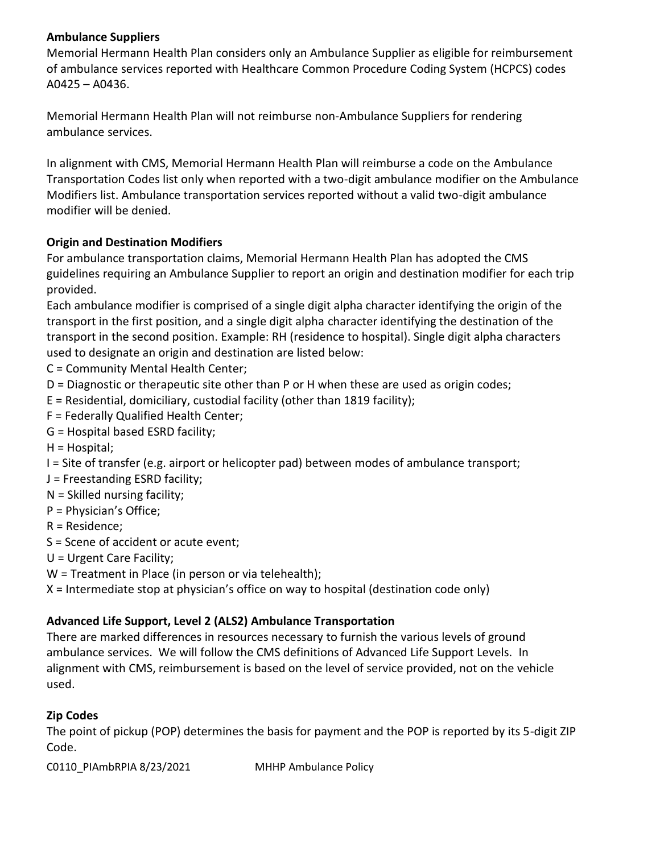## **Ambulance Suppliers**

Memorial Hermann Health Plan considers only an Ambulance Supplier as eligible for reimbursement of ambulance services reported with Healthcare Common Procedure Coding System (HCPCS) codes A0425 – A0436.

Memorial Hermann Health Plan will not reimburse non-Ambulance Suppliers for rendering ambulance services.

In alignment with CMS, Memorial Hermann Health Plan will reimburse a code on the Ambulance Transportation Codes list only when reported with a two-digit ambulance modifier on the Ambulance Modifiers list. Ambulance transportation services reported without a valid two-digit ambulance modifier will be denied.

# **Origin and Destination Modifiers**

For ambulance transportation claims, Memorial Hermann Health Plan has adopted the CMS guidelines requiring an Ambulance Supplier to report an origin and destination modifier for each trip provided.

Each ambulance modifier is comprised of a single digit alpha character identifying the origin of the transport in the first position, and a single digit alpha character identifying the destination of the transport in the second position. Example: RH (residence to hospital). Single digit alpha characters used to designate an origin and destination are listed below:

C = Community Mental Health Center;

- D = Diagnostic or therapeutic site other than P or H when these are used as origin codes;
- E = Residential, domiciliary, custodial facility (other than 1819 facility);
- F = Federally Qualified Health Center;
- G = Hospital based ESRD facility;
- H = Hospital;
- I = Site of transfer (e.g. airport or helicopter pad) between modes of ambulance transport;
- J = Freestanding ESRD facility;
- N = Skilled nursing facility;
- P = Physician's Office;
- R = Residence;
- S = Scene of accident or acute event;
- U = Urgent Care Facility;
- W = Treatment in Place (in person or via telehealth);
- X = Intermediate stop at physician's office on way to hospital (destination code only)

# **Advanced Life Support, Level 2 (ALS2) Ambulance Transportation**

There are marked differences in resources necessary to furnish the various levels of ground ambulance services. We will follow the CMS definitions of Advanced Life Support Levels. In alignment with CMS, reimbursement is based on the level of service provided, not on the vehicle used.

# **Zip Codes**

The point of pickup (POP) determines the basis for payment and the POP is reported by its 5-digit ZIP Code.

C0110\_PIAmbRPIA 8/23/2021 MHHP Ambulance Policy